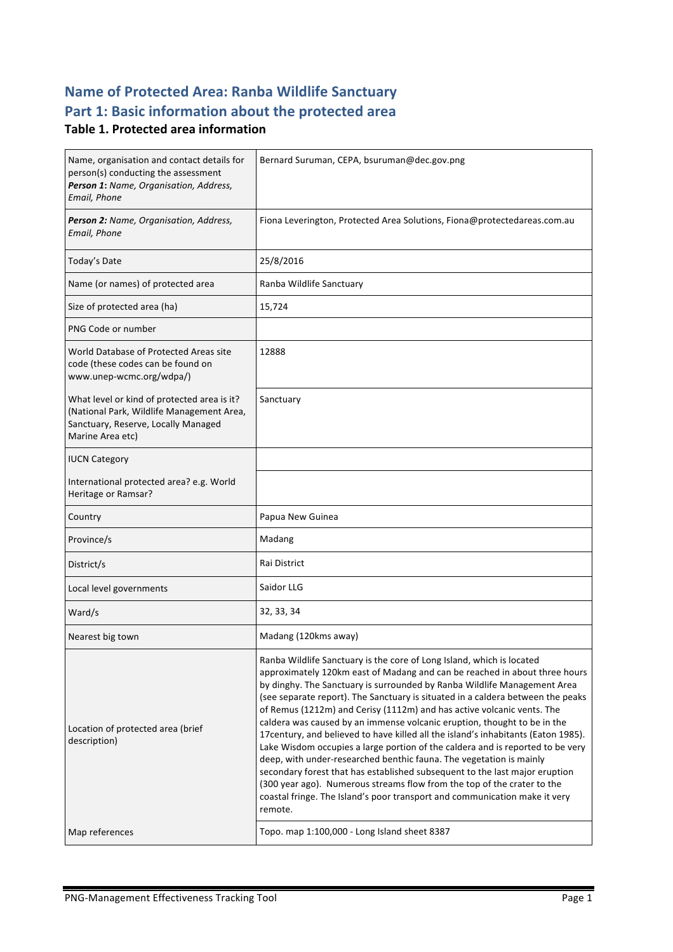# **Name of Protected Area: Ranba Wildlife Sanctuary** Part 1: Basic information about the protected area

### **Table 1. Protected area information**

| Name, organisation and contact details for<br>person(s) conducting the assessment<br>Person 1: Name, Organisation, Address,<br>Email, Phone         | Bernard Suruman, CEPA, bsuruman@dec.gov.png                                                                                                                                                                                                                                                                                                                                                                                                                                                                                                                                                                                                                                                                                                                                                                                                                                                                                                                                |  |
|-----------------------------------------------------------------------------------------------------------------------------------------------------|----------------------------------------------------------------------------------------------------------------------------------------------------------------------------------------------------------------------------------------------------------------------------------------------------------------------------------------------------------------------------------------------------------------------------------------------------------------------------------------------------------------------------------------------------------------------------------------------------------------------------------------------------------------------------------------------------------------------------------------------------------------------------------------------------------------------------------------------------------------------------------------------------------------------------------------------------------------------------|--|
| Person 2: Name, Organisation, Address,<br>Email, Phone                                                                                              | Fiona Leverington, Protected Area Solutions, Fiona@protectedareas.com.au                                                                                                                                                                                                                                                                                                                                                                                                                                                                                                                                                                                                                                                                                                                                                                                                                                                                                                   |  |
| Today's Date                                                                                                                                        | 25/8/2016                                                                                                                                                                                                                                                                                                                                                                                                                                                                                                                                                                                                                                                                                                                                                                                                                                                                                                                                                                  |  |
| Name (or names) of protected area                                                                                                                   | Ranba Wildlife Sanctuary                                                                                                                                                                                                                                                                                                                                                                                                                                                                                                                                                                                                                                                                                                                                                                                                                                                                                                                                                   |  |
| Size of protected area (ha)                                                                                                                         | 15,724                                                                                                                                                                                                                                                                                                                                                                                                                                                                                                                                                                                                                                                                                                                                                                                                                                                                                                                                                                     |  |
| PNG Code or number                                                                                                                                  |                                                                                                                                                                                                                                                                                                                                                                                                                                                                                                                                                                                                                                                                                                                                                                                                                                                                                                                                                                            |  |
| World Database of Protected Areas site<br>code (these codes can be found on<br>www.unep-wcmc.org/wdpa/)                                             | 12888                                                                                                                                                                                                                                                                                                                                                                                                                                                                                                                                                                                                                                                                                                                                                                                                                                                                                                                                                                      |  |
| What level or kind of protected area is it?<br>(National Park, Wildlife Management Area,<br>Sanctuary, Reserve, Locally Managed<br>Marine Area etc) | Sanctuary                                                                                                                                                                                                                                                                                                                                                                                                                                                                                                                                                                                                                                                                                                                                                                                                                                                                                                                                                                  |  |
| <b>IUCN Category</b>                                                                                                                                |                                                                                                                                                                                                                                                                                                                                                                                                                                                                                                                                                                                                                                                                                                                                                                                                                                                                                                                                                                            |  |
| International protected area? e.g. World<br>Heritage or Ramsar?                                                                                     |                                                                                                                                                                                                                                                                                                                                                                                                                                                                                                                                                                                                                                                                                                                                                                                                                                                                                                                                                                            |  |
| Country                                                                                                                                             | Papua New Guinea                                                                                                                                                                                                                                                                                                                                                                                                                                                                                                                                                                                                                                                                                                                                                                                                                                                                                                                                                           |  |
| Province/s                                                                                                                                          | Madang                                                                                                                                                                                                                                                                                                                                                                                                                                                                                                                                                                                                                                                                                                                                                                                                                                                                                                                                                                     |  |
| District/s                                                                                                                                          | Rai District                                                                                                                                                                                                                                                                                                                                                                                                                                                                                                                                                                                                                                                                                                                                                                                                                                                                                                                                                               |  |
| Local level governments                                                                                                                             | Saidor LLG                                                                                                                                                                                                                                                                                                                                                                                                                                                                                                                                                                                                                                                                                                                                                                                                                                                                                                                                                                 |  |
| Ward/s                                                                                                                                              | 32, 33, 34                                                                                                                                                                                                                                                                                                                                                                                                                                                                                                                                                                                                                                                                                                                                                                                                                                                                                                                                                                 |  |
| Nearest big town                                                                                                                                    | Madang (120kms away)                                                                                                                                                                                                                                                                                                                                                                                                                                                                                                                                                                                                                                                                                                                                                                                                                                                                                                                                                       |  |
| Location of protected area (brief<br>description)                                                                                                   | Ranba Wildlife Sanctuary is the core of Long Island, which is located<br>approximately 120km east of Madang and can be reached in about three hours<br>by dinghy. The Sanctuary is surrounded by Ranba Wildlife Management Area<br>(see separate report). The Sanctuary is situated in a caldera between the peaks<br>of Remus (1212m) and Cerisy (1112m) and has active volcanic vents. The<br>caldera was caused by an immense volcanic eruption, thought to be in the<br>17 century, and believed to have killed all the island's inhabitants (Eaton 1985).<br>Lake Wisdom occupies a large portion of the caldera and is reported to be very<br>deep, with under-researched benthic fauna. The vegetation is mainly<br>secondary forest that has established subsequent to the last major eruption<br>(300 year ago). Numerous streams flow from the top of the crater to the<br>coastal fringe. The Island's poor transport and communication make it very<br>remote. |  |
| Map references                                                                                                                                      | Topo. map 1:100,000 - Long Island sheet 8387                                                                                                                                                                                                                                                                                                                                                                                                                                                                                                                                                                                                                                                                                                                                                                                                                                                                                                                               |  |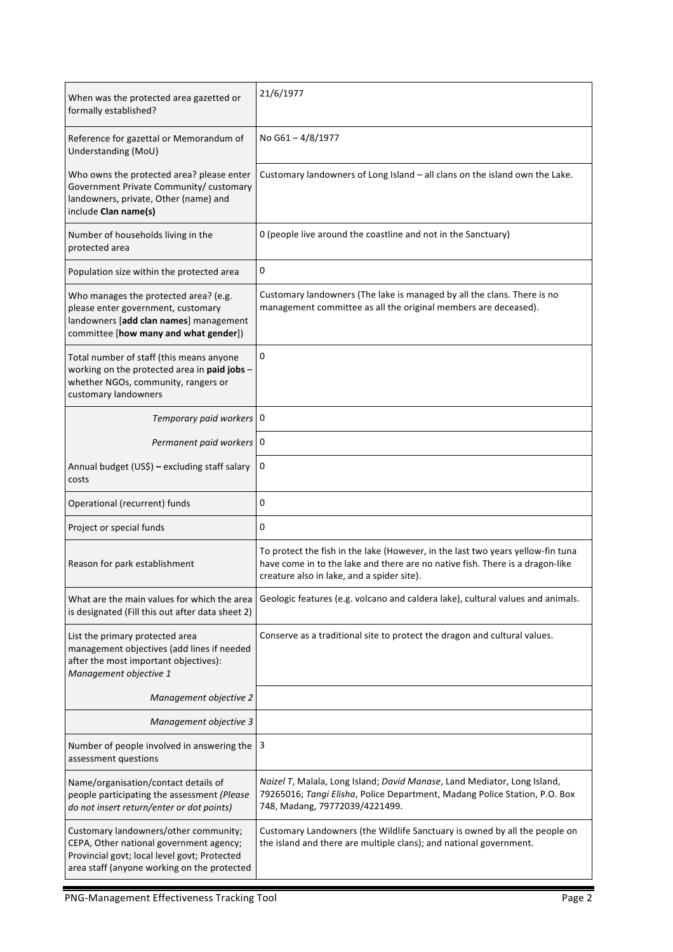| When was the protected area gazetted or<br>formally established?                                                                                                                | 21/6/1977                                                                                                                                                                                                      |
|---------------------------------------------------------------------------------------------------------------------------------------------------------------------------------|----------------------------------------------------------------------------------------------------------------------------------------------------------------------------------------------------------------|
| Reference for gazettal or Memorandum of<br>Understanding (MoU)                                                                                                                  | No G61-4/8/1977                                                                                                                                                                                                |
| Who owns the protected area? please enter<br>Government Private Community/ customary<br>landowners, private, Other (name) and<br>include Clan name(s)                           | Customary landowners of Long Island - all clans on the island own the Lake.                                                                                                                                    |
| Number of households living in the<br>protected area                                                                                                                            | 0 (people live around the coastline and not in the Sanctuary)                                                                                                                                                  |
| Population size within the protected area                                                                                                                                       | 0                                                                                                                                                                                                              |
| Who manages the protected area? (e.g.<br>please enter government, customary<br>landowners [add clan names] management<br>committee [how many and what gender])                  | Customary landowners (The lake is managed by all the clans. There is no<br>management committee as all the original members are deceased).                                                                     |
| Total number of staff (this means anyone<br>working on the protected area in paid jobs -<br>whether NGOs, community, rangers or<br>customary landowners                         | 0                                                                                                                                                                                                              |
| Temporary paid workers 0                                                                                                                                                        |                                                                                                                                                                                                                |
| Permanent paid workers                                                                                                                                                          | 0                                                                                                                                                                                                              |
| Annual budget (US\$) - excluding staff salary<br>costs                                                                                                                          | 0                                                                                                                                                                                                              |
| Operational (recurrent) funds                                                                                                                                                   | 0                                                                                                                                                                                                              |
| Project or special funds                                                                                                                                                        | 0                                                                                                                                                                                                              |
| Reason for park establishment                                                                                                                                                   | To protect the fish in the lake (However, in the last two years yellow-fin tuna<br>have come in to the lake and there are no native fish. There is a dragon-like<br>creature also in lake, and a spider site). |
| What are the main values for which the area<br>is designated (Fill this out after data sheet 2)                                                                                 | Geologic features (e.g. volcano and caldera lake), cultural values and animals.                                                                                                                                |
| List the primary protected area<br>management objectives (add lines if needed<br>after the most important objectives):<br>Management objective 1                                | Conserve as a traditional site to protect the dragon and cultural values.                                                                                                                                      |
| Management objective 2                                                                                                                                                          |                                                                                                                                                                                                                |
| Management objective 3                                                                                                                                                          |                                                                                                                                                                                                                |
| Number of people involved in answering the<br>assessment questions                                                                                                              | 3                                                                                                                                                                                                              |
| Name/organisation/contact details of<br>people participating the assessment (Please<br>do not insert return/enter or dot points)                                                | Naizel T, Malala, Long Island; David Manase, Land Mediator, Long Island,<br>79265016; Tangi Elisha, Police Department, Madang Police Station, P.O. Box<br>748, Madang, 79772039/4221499.                       |
| Customary landowners/other community;<br>CEPA, Other national government agency;<br>Provincial govt; local level govt; Protected<br>area staff (anyone working on the protected | Customary Landowners (the Wildlife Sanctuary is owned by all the people on<br>the island and there are multiple clans); and national government.                                                               |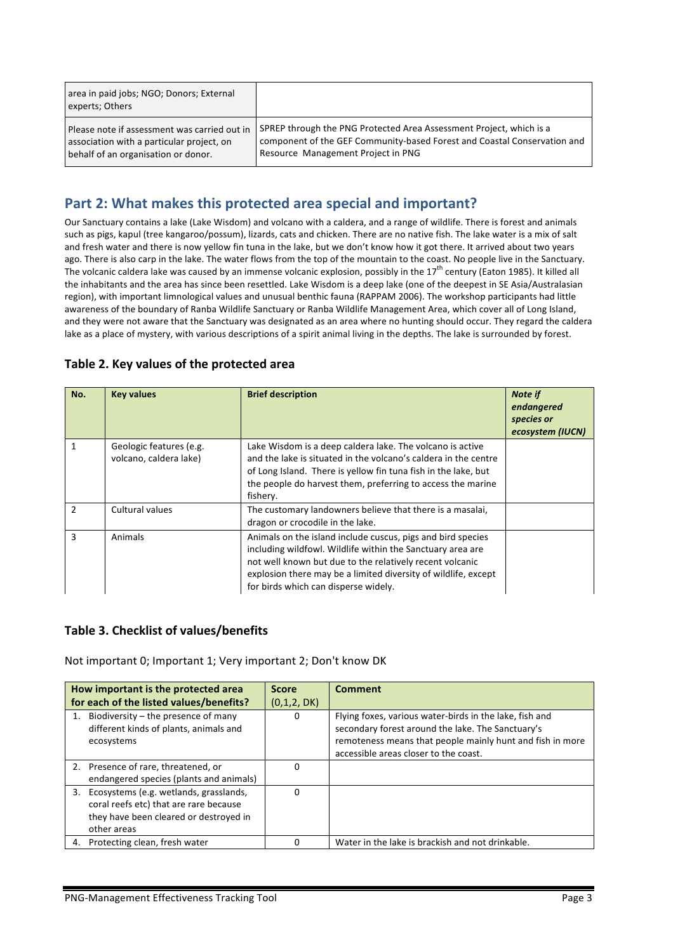| area in paid jobs; NGO; Donors; External<br>experts; Others |                                                                          |
|-------------------------------------------------------------|--------------------------------------------------------------------------|
| Please note if assessment was carried out in                | SPREP through the PNG Protected Area Assessment Project, which is a      |
| association with a particular project, on                   | component of the GEF Community-based Forest and Coastal Conservation and |
| behalf of an organisation or donor.                         | Resource Management Project in PNG                                       |

## **Part 2: What makes this protected area special and important?**

Our Sanctuary contains a lake (Lake Wisdom) and volcano with a caldera, and a range of wildlife. There is forest and animals such as pigs, kapul (tree kangaroo/possum), lizards, cats and chicken. There are no native fish. The lake water is a mix of salt and fresh water and there is now yellow fin tuna in the lake, but we don't know how it got there. It arrived about two years ago. There is also carp in the lake. The water flows from the top of the mountain to the coast. No people live in the Sanctuary. The volcanic caldera lake was caused by an immense volcanic explosion, possibly in the  $17^{th}$  century (Eaton 1985). It killed all the inhabitants and the area has since been resettled. Lake Wisdom is a deep lake (one of the deepest in SE Asia/Australasian region), with important limnological values and unusual benthic fauna (RAPPAM 2006). The workshop participants had little awareness of the boundary of Ranba Wildlife Sanctuary or Ranba Wildlife Management Area, which cover all of Long Island, and they were not aware that the Sanctuary was designated as an area where no hunting should occur. They regard the caldera lake as a place of mystery, with various descriptions of a spirit animal living in the depths. The lake is surrounded by forest.

| No.            | <b>Key values</b>                                 | <b>Brief description</b>                                                                                                                                                                                                                                                                        | <b>Note if</b><br>endangered<br>species or<br>ecosystem (IUCN) |
|----------------|---------------------------------------------------|-------------------------------------------------------------------------------------------------------------------------------------------------------------------------------------------------------------------------------------------------------------------------------------------------|----------------------------------------------------------------|
|                | Geologic features (e.g.<br>volcano, caldera lake) | Lake Wisdom is a deep caldera lake. The volcano is active<br>and the lake is situated in the volcano's caldera in the centre<br>of Long Island. There is yellow fin tuna fish in the lake, but<br>the people do harvest them, preferring to access the marine<br>fishery.                       |                                                                |
| $\mathfrak{p}$ | Cultural values                                   | The customary landowners believe that there is a masalai,<br>dragon or crocodile in the lake.                                                                                                                                                                                                   |                                                                |
| 3              | Animals                                           | Animals on the island include cuscus, pigs and bird species<br>including wildfowl. Wildlife within the Sanctuary area are<br>not well known but due to the relatively recent volcanic<br>explosion there may be a limited diversity of wildlife, except<br>for birds which can disperse widely. |                                                                |

### Table 2. Key values of the protected area

### **Table 3. Checklist of values/benefits**

Not important 0; Important 1; Very important 2; Don't know DK

|    | How important is the protected area<br>for each of the listed values/benefits?                                                            | <b>Score</b><br>(0,1,2, DK) | <b>Comment</b>                                                                                                                                                                                                     |
|----|-------------------------------------------------------------------------------------------------------------------------------------------|-----------------------------|--------------------------------------------------------------------------------------------------------------------------------------------------------------------------------------------------------------------|
|    | Biodiversity – the presence of many<br>different kinds of plants, animals and<br>ecosystems                                               | 0                           | Flying foxes, various water-birds in the lake, fish and<br>secondary forest around the lake. The Sanctuary's<br>remoteness means that people mainly hunt and fish in more<br>accessible areas closer to the coast. |
|    | 2. Presence of rare, threatened, or<br>endangered species (plants and animals)                                                            | 0                           |                                                                                                                                                                                                                    |
| 3. | Ecosystems (e.g. wetlands, grasslands,<br>coral reefs etc) that are rare because<br>they have been cleared or destroyed in<br>other areas | $\Omega$                    |                                                                                                                                                                                                                    |
| 4. | Protecting clean, fresh water                                                                                                             |                             | Water in the lake is brackish and not drinkable.                                                                                                                                                                   |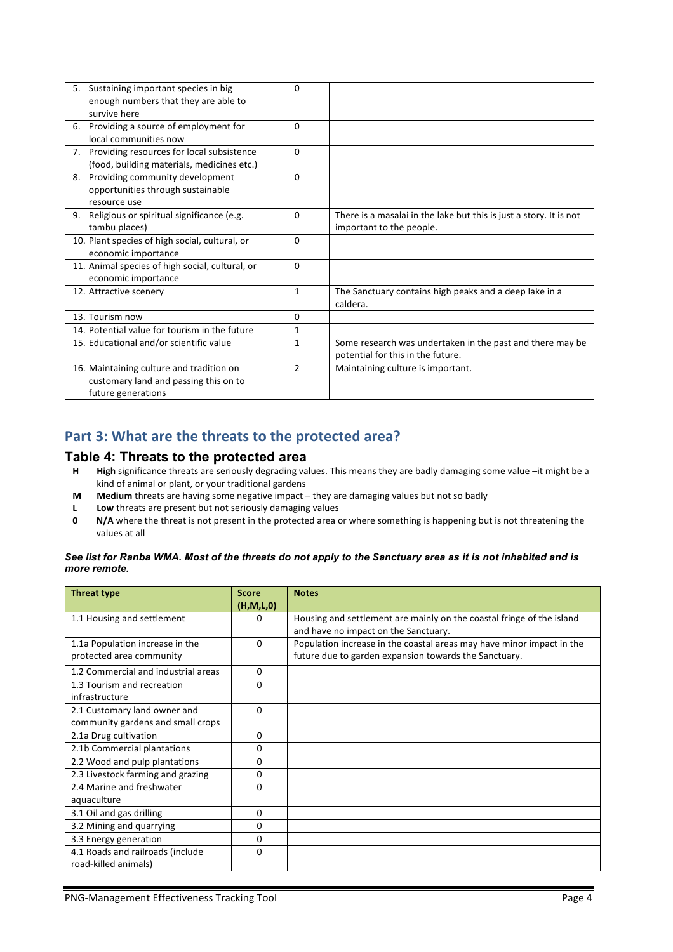| 5. | Sustaining important species in big             | 0              |                                                                    |
|----|-------------------------------------------------|----------------|--------------------------------------------------------------------|
|    | enough numbers that they are able to            |                |                                                                    |
|    | survive here                                    |                |                                                                    |
|    | 6. Providing a source of employment for         | $\Omega$       |                                                                    |
|    | local communities now                           |                |                                                                    |
|    | 7. Providing resources for local subsistence    | $\Omega$       |                                                                    |
|    | (food, building materials, medicines etc.)      |                |                                                                    |
| 8. | Providing community development                 | $\Omega$       |                                                                    |
|    | opportunities through sustainable               |                |                                                                    |
|    | resource use                                    |                |                                                                    |
| 9. | Religious or spiritual significance (e.g.       | 0              | There is a masalai in the lake but this is just a story. It is not |
|    | tambu places)                                   |                | important to the people.                                           |
|    | 10. Plant species of high social, cultural, or  | 0              |                                                                    |
|    | economic importance                             |                |                                                                    |
|    | 11. Animal species of high social, cultural, or | $\Omega$       |                                                                    |
|    | economic importance                             |                |                                                                    |
|    | 12. Attractive scenery                          | 1              | The Sanctuary contains high peaks and a deep lake in a             |
|    |                                                 |                | caldera.                                                           |
|    | 13. Tourism now                                 | $\Omega$       |                                                                    |
|    | 14. Potential value for tourism in the future   | 1              |                                                                    |
|    | 15. Educational and/or scientific value         | 1              | Some research was undertaken in the past and there may be          |
|    |                                                 |                | potential for this in the future.                                  |
|    | 16. Maintaining culture and tradition on        | $\mathfrak{p}$ | Maintaining culture is important.                                  |
|    | customary land and passing this on to           |                |                                                                    |
|    | future generations                              |                |                                                                    |

## Part 3: What are the threats to the protected area?

#### **Table 4: Threats to the protected area**

- H High significance threats are seriously degrading values. This means they are badly damaging some value -it might be a kind of animal or plant, or your traditional gardens
- **M** Medium threats are having some negative impact they are damaging values but not so badly
- **L Low** threats are present but not seriously damaging values
- **0 N/A** where the threat is not present in the protected area or where something is happening but is not threatening the values at all

#### *See list for Ranba WMA. Most of the threats do not apply to the Sanctuary area as it is not inhabited and is more remote.*

| <b>Threat type</b>                           | <b>Score</b><br>(H, M, L, 0) | <b>Notes</b>                                                                                                  |
|----------------------------------------------|------------------------------|---------------------------------------------------------------------------------------------------------------|
| 1.1 Housing and settlement                   | $\Omega$                     | Housing and settlement are mainly on the coastal fringe of the island<br>and have no impact on the Sanctuary. |
| 1.1a Population increase in the              | $\Omega$                     | Population increase in the coastal areas may have minor impact in the                                         |
| protected area community                     |                              | future due to garden expansion towards the Sanctuary.                                                         |
| 1.2 Commercial and industrial areas          | $\Omega$                     |                                                                                                               |
| 1.3 Tourism and recreation<br>infrastructure | 0                            |                                                                                                               |
| 2.1 Customary land owner and                 | $\Omega$                     |                                                                                                               |
| community gardens and small crops            |                              |                                                                                                               |
| 2.1a Drug cultivation                        | $\Omega$                     |                                                                                                               |
| 2.1b Commercial plantations                  | 0                            |                                                                                                               |
| 2.2 Wood and pulp plantations                | 0                            |                                                                                                               |
| 2.3 Livestock farming and grazing            | 0                            |                                                                                                               |
| 2.4 Marine and freshwater                    | $\Omega$                     |                                                                                                               |
| aquaculture                                  |                              |                                                                                                               |
| 3.1 Oil and gas drilling                     | $\Omega$                     |                                                                                                               |
| 3.2 Mining and quarrying                     | $\Omega$                     |                                                                                                               |
| 3.3 Energy generation                        | 0                            |                                                                                                               |
| 4.1 Roads and railroads (include             | 0                            |                                                                                                               |
| road-killed animals)                         |                              |                                                                                                               |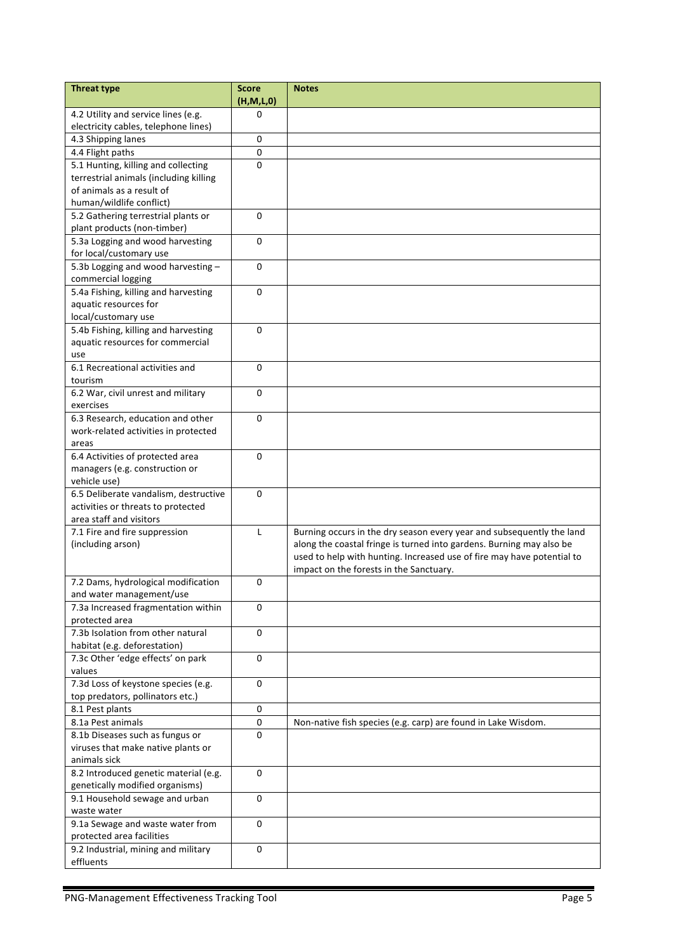| <b>Threat type</b>                                                      | <b>Score</b><br>(H, M, L, 0) | <b>Notes</b>                                                           |
|-------------------------------------------------------------------------|------------------------------|------------------------------------------------------------------------|
| 4.2 Utility and service lines (e.g.                                     | 0                            |                                                                        |
| electricity cables, telephone lines)                                    |                              |                                                                        |
| 4.3 Shipping lanes                                                      | 0                            |                                                                        |
| 4.4 Flight paths                                                        | 0                            |                                                                        |
| 5.1 Hunting, killing and collecting                                     | 0                            |                                                                        |
| terrestrial animals (including killing                                  |                              |                                                                        |
| of animals as a result of                                               |                              |                                                                        |
| human/wildlife conflict)                                                |                              |                                                                        |
| 5.2 Gathering terrestrial plants or                                     | 0                            |                                                                        |
| plant products (non-timber)                                             |                              |                                                                        |
| 5.3a Logging and wood harvesting                                        | 0                            |                                                                        |
| for local/customary use                                                 |                              |                                                                        |
| 5.3b Logging and wood harvesting -                                      | 0                            |                                                                        |
| commercial logging                                                      |                              |                                                                        |
| 5.4a Fishing, killing and harvesting                                    | 0                            |                                                                        |
| aquatic resources for                                                   |                              |                                                                        |
| local/customary use                                                     |                              |                                                                        |
| 5.4b Fishing, killing and harvesting                                    | 0                            |                                                                        |
| aquatic resources for commercial                                        |                              |                                                                        |
| use                                                                     |                              |                                                                        |
| 6.1 Recreational activities and                                         | 0                            |                                                                        |
| tourism                                                                 |                              |                                                                        |
| 6.2 War, civil unrest and military                                      | 0                            |                                                                        |
| exercises                                                               |                              |                                                                        |
| 6.3 Research, education and other                                       | 0                            |                                                                        |
| work-related activities in protected                                    |                              |                                                                        |
| areas                                                                   |                              |                                                                        |
| 6.4 Activities of protected area                                        | 0                            |                                                                        |
| managers (e.g. construction or                                          |                              |                                                                        |
| vehicle use)                                                            |                              |                                                                        |
| 6.5 Deliberate vandalism, destructive                                   | 0                            |                                                                        |
| activities or threats to protected                                      |                              |                                                                        |
| area staff and visitors                                                 |                              |                                                                        |
| 7.1 Fire and fire suppression                                           | L                            | Burning occurs in the dry season every year and subsequently the land  |
| (including arson)                                                       |                              | along the coastal fringe is turned into gardens. Burning may also be   |
|                                                                         |                              | used to help with hunting. Increased use of fire may have potential to |
|                                                                         |                              | impact on the forests in the Sanctuary.                                |
| 7.2 Dams, hydrological modification                                     | 0                            |                                                                        |
| and water management/use                                                |                              |                                                                        |
| 7.3a Increased fragmentation within                                     | 0                            |                                                                        |
| protected area                                                          |                              |                                                                        |
| 7.3b Isolation from other natural                                       | 0                            |                                                                        |
| habitat (e.g. deforestation)                                            |                              |                                                                        |
| 7.3c Other 'edge effects' on park                                       | 0                            |                                                                        |
| values                                                                  | 0                            |                                                                        |
| 7.3d Loss of keystone species (e.g.<br>top predators, pollinators etc.) |                              |                                                                        |
| 8.1 Pest plants                                                         | 0                            |                                                                        |
| 8.1a Pest animals                                                       | 0                            | Non-native fish species (e.g. carp) are found in Lake Wisdom.          |
| 8.1b Diseases such as fungus or                                         | 0                            |                                                                        |
| viruses that make native plants or                                      |                              |                                                                        |
| animals sick                                                            |                              |                                                                        |
| 8.2 Introduced genetic material (e.g.                                   | 0                            |                                                                        |
| genetically modified organisms)                                         |                              |                                                                        |
| 9.1 Household sewage and urban                                          | 0                            |                                                                        |
| waste water                                                             |                              |                                                                        |
| 9.1a Sewage and waste water from                                        | $\mathbf 0$                  |                                                                        |
| protected area facilities                                               |                              |                                                                        |
| 9.2 Industrial, mining and military                                     | 0                            |                                                                        |
| effluents                                                               |                              |                                                                        |
|                                                                         |                              |                                                                        |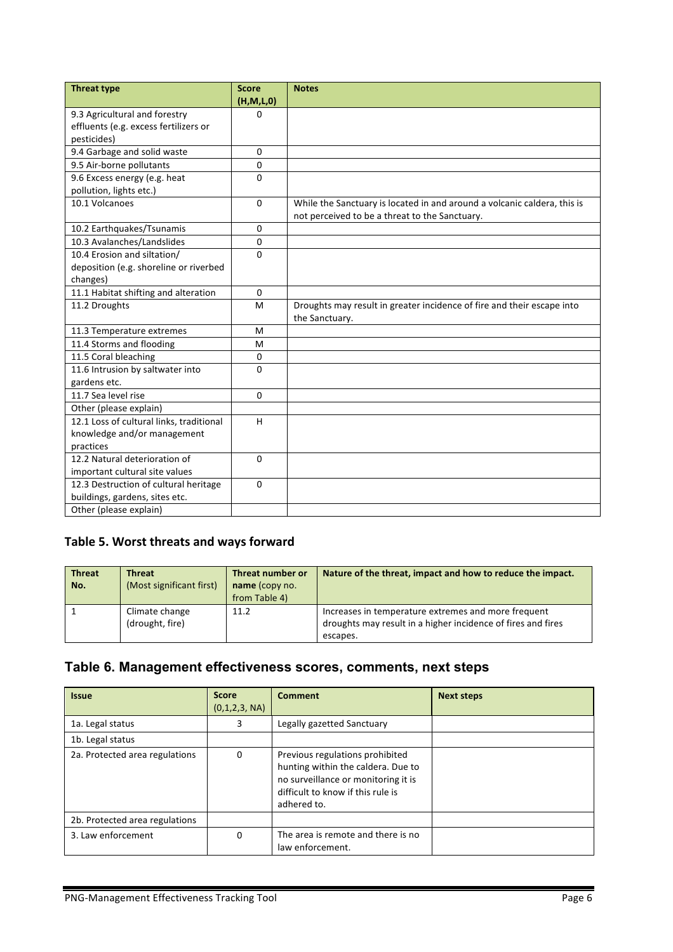| <b>Threat type</b>                       | <b>Score</b> | <b>Notes</b>                                                             |
|------------------------------------------|--------------|--------------------------------------------------------------------------|
|                                          | (H, M, L, 0) |                                                                          |
| 9.3 Agricultural and forestry            | 0            |                                                                          |
| effluents (e.g. excess fertilizers or    |              |                                                                          |
| pesticides)                              |              |                                                                          |
| 9.4 Garbage and solid waste              | $\Omega$     |                                                                          |
| 9.5 Air-borne pollutants                 | $\Omega$     |                                                                          |
| 9.6 Excess energy (e.g. heat             | $\Omega$     |                                                                          |
| pollution, lights etc.)                  |              |                                                                          |
| 10.1 Volcanoes                           | $\Omega$     | While the Sanctuary is located in and around a volcanic caldera, this is |
|                                          |              | not perceived to be a threat to the Sanctuary.                           |
| 10.2 Earthquakes/Tsunamis                | 0            |                                                                          |
| 10.3 Avalanches/Landslides               | $\mathbf 0$  |                                                                          |
| 10.4 Erosion and siltation/              | $\Omega$     |                                                                          |
| deposition (e.g. shoreline or riverbed   |              |                                                                          |
| changes)                                 |              |                                                                          |
| 11.1 Habitat shifting and alteration     | $\Omega$     |                                                                          |
| 11.2 Droughts                            | м            | Droughts may result in greater incidence of fire and their escape into   |
|                                          |              | the Sanctuary.                                                           |
| 11.3 Temperature extremes                | м            |                                                                          |
| 11.4 Storms and flooding                 | M            |                                                                          |
| 11.5 Coral bleaching                     | 0            |                                                                          |
| 11.6 Intrusion by saltwater into         | $\Omega$     |                                                                          |
| gardens etc.                             |              |                                                                          |
| 11.7 Sea level rise                      | $\Omega$     |                                                                          |
| Other (please explain)                   |              |                                                                          |
| 12.1 Loss of cultural links, traditional | H            |                                                                          |
| knowledge and/or management              |              |                                                                          |
| practices                                |              |                                                                          |
| 12.2 Natural deterioration of            | $\Omega$     |                                                                          |
| important cultural site values           |              |                                                                          |
| 12.3 Destruction of cultural heritage    | $\Omega$     |                                                                          |
| buildings, gardens, sites etc.           |              |                                                                          |
| Other (please explain)                   |              |                                                                          |

### Table 5. Worst threats and ways forward

| <b>Threat</b><br>No. | <b>Threat</b><br>(Most significant first) | Threat number or<br>name (copy no.<br>from Table 4) | Nature of the threat, impact and how to reduce the impact.                                                                      |
|----------------------|-------------------------------------------|-----------------------------------------------------|---------------------------------------------------------------------------------------------------------------------------------|
|                      | Climate change<br>(drought, fire)         | 11.2                                                | Increases in temperature extremes and more frequent<br>droughts may result in a higher incidence of fires and fires<br>escapes. |

# **Table 6. Management effectiveness scores, comments, next steps**

| <b>Issue</b>                   | <b>Score</b><br>(0,1,2,3, NA) | <b>Comment</b>                                                                                                                                                   | <b>Next steps</b> |
|--------------------------------|-------------------------------|------------------------------------------------------------------------------------------------------------------------------------------------------------------|-------------------|
| 1a. Legal status               | 3                             | Legally gazetted Sanctuary                                                                                                                                       |                   |
| 1b. Legal status               |                               |                                                                                                                                                                  |                   |
| 2a. Protected area regulations | $\Omega$                      | Previous regulations prohibited<br>hunting within the caldera. Due to<br>no surveillance or monitoring it is<br>difficult to know if this rule is<br>adhered to. |                   |
| 2b. Protected area regulations |                               |                                                                                                                                                                  |                   |
| 3. Law enforcement             | 0                             | The area is remote and there is no<br>law enforcement.                                                                                                           |                   |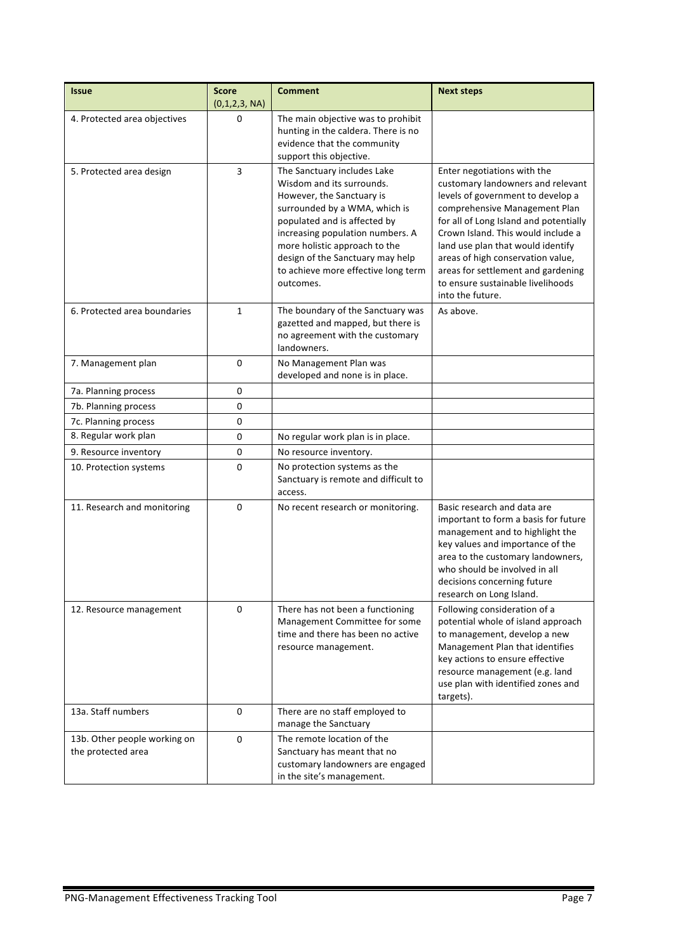| <b>Issue</b>                                       | <b>Score</b><br>(0,1,2,3, NA) | <b>Comment</b>                                                                                                                                                                                                                                                                                                      | <b>Next steps</b>                                                                                                                                                                                                                                                                                                                                                                               |
|----------------------------------------------------|-------------------------------|---------------------------------------------------------------------------------------------------------------------------------------------------------------------------------------------------------------------------------------------------------------------------------------------------------------------|-------------------------------------------------------------------------------------------------------------------------------------------------------------------------------------------------------------------------------------------------------------------------------------------------------------------------------------------------------------------------------------------------|
| 4. Protected area objectives                       | 0                             | The main objective was to prohibit<br>hunting in the caldera. There is no<br>evidence that the community<br>support this objective.                                                                                                                                                                                 |                                                                                                                                                                                                                                                                                                                                                                                                 |
| 5. Protected area design                           | 3                             | The Sanctuary includes Lake<br>Wisdom and its surrounds.<br>However, the Sanctuary is<br>surrounded by a WMA, which is<br>populated and is affected by<br>increasing population numbers. A<br>more holistic approach to the<br>design of the Sanctuary may help<br>to achieve more effective long term<br>outcomes. | Enter negotiations with the<br>customary landowners and relevant<br>levels of government to develop a<br>comprehensive Management Plan<br>for all of Long Island and potentially<br>Crown Island. This would include a<br>land use plan that would identify<br>areas of high conservation value,<br>areas for settlement and gardening<br>to ensure sustainable livelihoods<br>into the future. |
| 6. Protected area boundaries                       | $\mathbf{1}$                  | The boundary of the Sanctuary was<br>gazetted and mapped, but there is<br>no agreement with the customary<br>landowners.                                                                                                                                                                                            | As above.                                                                                                                                                                                                                                                                                                                                                                                       |
| 7. Management plan                                 | 0                             | No Management Plan was<br>developed and none is in place.                                                                                                                                                                                                                                                           |                                                                                                                                                                                                                                                                                                                                                                                                 |
| 7a. Planning process                               | 0                             |                                                                                                                                                                                                                                                                                                                     |                                                                                                                                                                                                                                                                                                                                                                                                 |
| 7b. Planning process                               | 0                             |                                                                                                                                                                                                                                                                                                                     |                                                                                                                                                                                                                                                                                                                                                                                                 |
| 7c. Planning process                               | 0                             |                                                                                                                                                                                                                                                                                                                     |                                                                                                                                                                                                                                                                                                                                                                                                 |
| 8. Regular work plan                               | 0                             | No regular work plan is in place.                                                                                                                                                                                                                                                                                   |                                                                                                                                                                                                                                                                                                                                                                                                 |
| 9. Resource inventory                              | 0                             | No resource inventory.                                                                                                                                                                                                                                                                                              |                                                                                                                                                                                                                                                                                                                                                                                                 |
| 10. Protection systems                             | 0                             | No protection systems as the<br>Sanctuary is remote and difficult to<br>access.                                                                                                                                                                                                                                     |                                                                                                                                                                                                                                                                                                                                                                                                 |
| 11. Research and monitoring                        | 0                             | No recent research or monitoring.                                                                                                                                                                                                                                                                                   | Basic research and data are<br>important to form a basis for future<br>management and to highlight the<br>key values and importance of the<br>area to the customary landowners,<br>who should be involved in all<br>decisions concerning future<br>research on Long Island.                                                                                                                     |
| 12. Resource management                            | $\Omega$                      | There has not been a functioning<br>Management Committee for some<br>time and there has been no active<br>resource management.                                                                                                                                                                                      | Following consideration of a<br>potential whole of island approach<br>to management, develop a new<br>Management Plan that identifies<br>key actions to ensure effective<br>resource management (e.g. land<br>use plan with identified zones and<br>targets).                                                                                                                                   |
| 13a. Staff numbers                                 | $\pmb{0}$                     | There are no staff employed to<br>manage the Sanctuary                                                                                                                                                                                                                                                              |                                                                                                                                                                                                                                                                                                                                                                                                 |
| 13b. Other people working on<br>the protected area | 0                             | The remote location of the<br>Sanctuary has meant that no<br>customary landowners are engaged<br>in the site's management.                                                                                                                                                                                          |                                                                                                                                                                                                                                                                                                                                                                                                 |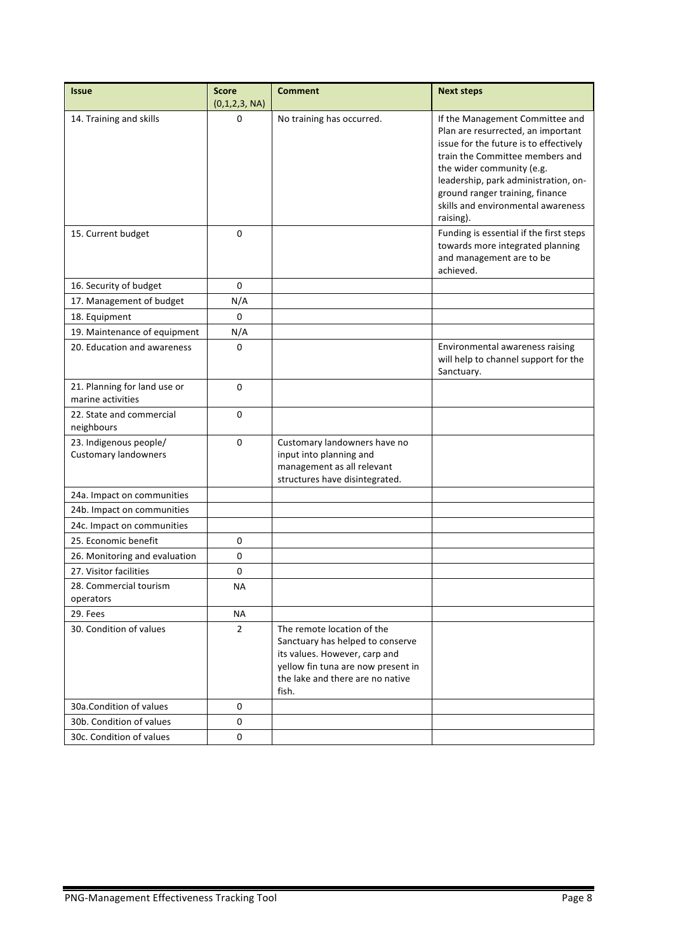| <b>Issue</b>                                          | <b>Score</b><br>(0,1,2,3, NA) | <b>Comment</b>                                                                                                                                                                     | <b>Next steps</b>                                                                                                                                                                                                                                                                                             |
|-------------------------------------------------------|-------------------------------|------------------------------------------------------------------------------------------------------------------------------------------------------------------------------------|---------------------------------------------------------------------------------------------------------------------------------------------------------------------------------------------------------------------------------------------------------------------------------------------------------------|
| 14. Training and skills                               | 0                             | No training has occurred.                                                                                                                                                          | If the Management Committee and<br>Plan are resurrected, an important<br>issue for the future is to effectively<br>train the Committee members and<br>the wider community (e.g.<br>leadership, park administration, on-<br>ground ranger training, finance<br>skills and environmental awareness<br>raising). |
| 15. Current budget                                    | $\mathbf 0$                   |                                                                                                                                                                                    | Funding is essential if the first steps<br>towards more integrated planning<br>and management are to be<br>achieved.                                                                                                                                                                                          |
| 16. Security of budget                                | 0                             |                                                                                                                                                                                    |                                                                                                                                                                                                                                                                                                               |
| 17. Management of budget                              | N/A                           |                                                                                                                                                                                    |                                                                                                                                                                                                                                                                                                               |
| 18. Equipment                                         | 0                             |                                                                                                                                                                                    |                                                                                                                                                                                                                                                                                                               |
| 19. Maintenance of equipment                          | N/A                           |                                                                                                                                                                                    |                                                                                                                                                                                                                                                                                                               |
| 20. Education and awareness                           | 0                             |                                                                                                                                                                                    | Environmental awareness raising<br>will help to channel support for the<br>Sanctuary.                                                                                                                                                                                                                         |
| 21. Planning for land use or<br>marine activities     | 0                             |                                                                                                                                                                                    |                                                                                                                                                                                                                                                                                                               |
| 22. State and commercial<br>neighbours                | 0                             |                                                                                                                                                                                    |                                                                                                                                                                                                                                                                                                               |
| 23. Indigenous people/<br><b>Customary landowners</b> | 0                             | Customary landowners have no<br>input into planning and<br>management as all relevant<br>structures have disintegrated.                                                            |                                                                                                                                                                                                                                                                                                               |
| 24a. Impact on communities                            |                               |                                                                                                                                                                                    |                                                                                                                                                                                                                                                                                                               |
| 24b. Impact on communities                            |                               |                                                                                                                                                                                    |                                                                                                                                                                                                                                                                                                               |
| 24c. Impact on communities                            |                               |                                                                                                                                                                                    |                                                                                                                                                                                                                                                                                                               |
| 25. Economic benefit                                  | 0                             |                                                                                                                                                                                    |                                                                                                                                                                                                                                                                                                               |
| 26. Monitoring and evaluation                         | 0                             |                                                                                                                                                                                    |                                                                                                                                                                                                                                                                                                               |
| 27. Visitor facilities                                | 0                             |                                                                                                                                                                                    |                                                                                                                                                                                                                                                                                                               |
| 28. Commercial tourism<br>operators                   | <b>NA</b>                     |                                                                                                                                                                                    |                                                                                                                                                                                                                                                                                                               |
| 29. Fees                                              | ΝA                            |                                                                                                                                                                                    |                                                                                                                                                                                                                                                                                                               |
| 30. Condition of values                               | $\overline{2}$                | The remote location of the<br>Sanctuary has helped to conserve<br>its values. However, carp and<br>yellow fin tuna are now present in<br>the lake and there are no native<br>fish. |                                                                                                                                                                                                                                                                                                               |
| 30a.Condition of values                               | 0                             |                                                                                                                                                                                    |                                                                                                                                                                                                                                                                                                               |
| 30b. Condition of values                              | 0                             |                                                                                                                                                                                    |                                                                                                                                                                                                                                                                                                               |
| 30c. Condition of values                              | 0                             |                                                                                                                                                                                    |                                                                                                                                                                                                                                                                                                               |